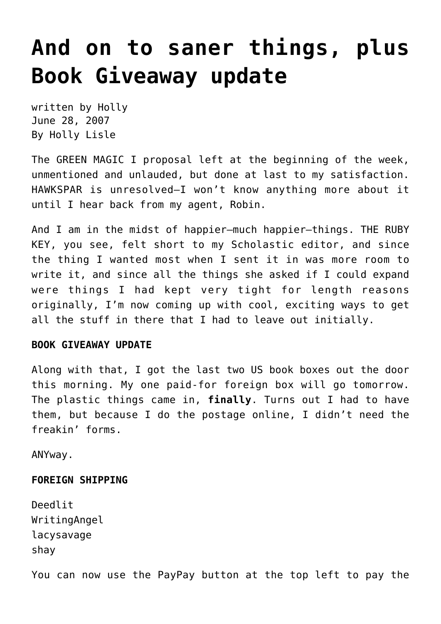## **[And on to saner things, plus](https://hollylisle.com/and-on-to-saner-things-plus-book-giveaway-update/) [Book Giveaway update](https://hollylisle.com/and-on-to-saner-things-plus-book-giveaway-update/)**

written by Holly June 28, 2007 [By Holly Lisle](https://hollylisle.com)

The GREEN MAGIC I proposal left at the beginning of the week, unmentioned and unlauded, but done at last to my satisfaction. HAWKSPAR is unresolved–I won't know anything more about it until I hear back from my agent, Robin.

And I am in the midst of happier–much happier–things. THE RUBY KEY, you see, felt short to my Scholastic editor, and since the thing I wanted most when I sent it in was more room to write it, and since all the things she asked if I could expand were things I had kept very tight for length reasons originally, I'm now coming up with cool, exciting ways to get all the stuff in there that I had to leave out initially.

### **BOOK GIVEAWAY UPDATE**

Along with that, I got the last two US book boxes out the door this morning. My one paid-for foreign box will go tomorrow. The plastic things came in, **finally**. Turns out I had to have them, but because I do the postage online, I didn't need the freakin' forms.

ANYway.

### **FOREIGN SHIPPING**

Deedlit WritingAngel lacysavage shay

You can now use the PayPay button at the top left to pay the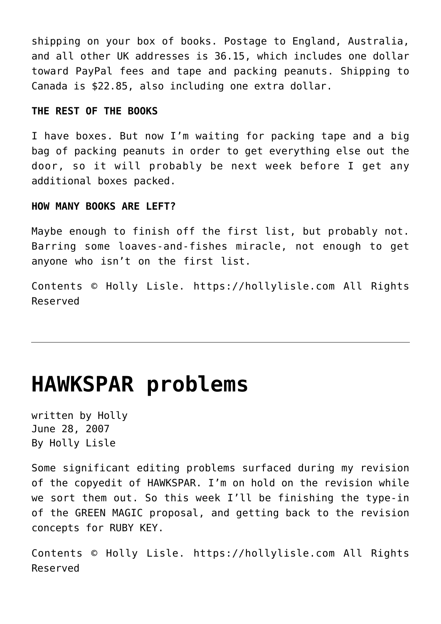shipping on your box of books. Postage to England, Australia, and all other UK addresses is 36.15, which includes one dollar toward PayPal fees and tape and packing peanuts. Shipping to Canada is \$22.85, also including one extra dollar.

#### **THE REST OF THE BOOKS**

I have boxes. But now I'm waiting for packing tape and a big bag of packing peanuts in order to get everything else out the door, so it will probably be next week before I get any additional boxes packed.

#### **HOW MANY BOOKS ARE LEFT?**

Maybe enough to finish off the first list, but probably not. Barring some loaves-and-fishes miracle, not enough to get anyone who isn't on the first list.

Contents © Holly Lisle. <https://hollylisle.com> All Rights Reserved

### **[HAWKSPAR problems](https://hollylisle.com/hawkspar-problems/)**

written by Holly June 28, 2007 [By Holly Lisle](https://hollylisle.com)

Some significant editing problems surfaced during my revision of the copyedit of HAWKSPAR. I'm on hold on the revision while we sort them out. So this week I'll be finishing the type-in of the GREEN MAGIC proposal, and getting back to the revision concepts for RUBY KEY.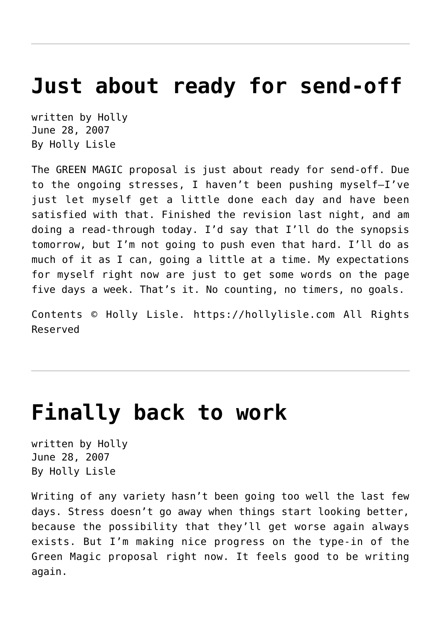## **[Just about ready for send-off](https://hollylisle.com/just-about-ready-for-send-off/)**

written by Holly June 28, 2007 [By Holly Lisle](https://hollylisle.com)

The GREEN MAGIC proposal is just about ready for send-off. Due to the ongoing stresses, I haven't been pushing myself–I've just let myself get a little done each day and have been satisfied with that. Finished the revision last night, and am doing a read-through today. I'd say that I'll do the synopsis tomorrow, but I'm not going to push even that hard. I'll do as much of it as I can, going a little at a time. My expectations for myself right now are just to get some words on the page five days a week. That's it. No counting, no timers, no goals.

Contents © Holly Lisle. <https://hollylisle.com> All Rights Reserved

### **[Finally back to work](https://hollylisle.com/finally-back-to-work/)**

written by Holly June 28, 2007 [By Holly Lisle](https://hollylisle.com)

Writing of any variety hasn't been going too well the last few days. Stress doesn't go away when things start looking better, because the possibility that they'll get worse again always exists. But I'm making nice progress on the type-in of the Green Magic proposal right now. It feels good to be writing again.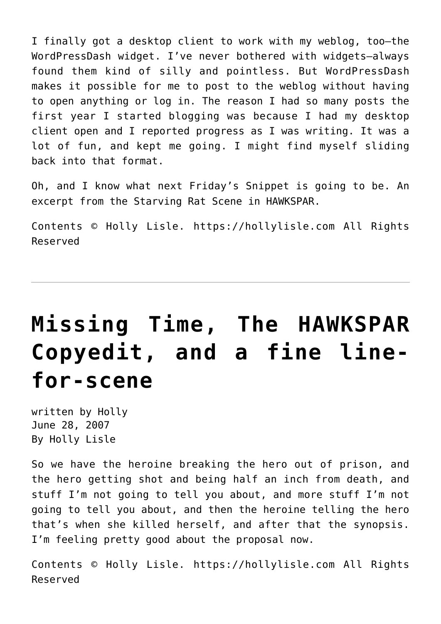I finally got a desktop client to work with my weblog, too–the WordPressDash widget. I've never bothered with widgets–always found them kind of silly and pointless. But WordPressDash makes it possible for me to post to the weblog without having to open anything or log in. The reason I had so many posts the first year I started blogging was because I had my desktop client open and I reported progress as I was writing. It was a lot of fun, and kept me going. I might find myself sliding back into that format.

Oh, and I know what next Friday's Snippet is going to be. An excerpt from the Starving Rat Scene in HAWKSPAR.

Contents © Holly Lisle. <https://hollylisle.com> All Rights Reserved

# **[Missing Time, The HAWKSPAR](https://hollylisle.com/missing-time-the-hawkspar-copyedit-and-a-fine-line-for-scene/) [Copyedit, and a fine line](https://hollylisle.com/missing-time-the-hawkspar-copyedit-and-a-fine-line-for-scene/)[for-scene](https://hollylisle.com/missing-time-the-hawkspar-copyedit-and-a-fine-line-for-scene/)**

written by Holly June 28, 2007 [By Holly Lisle](https://hollylisle.com)

So we have the heroine breaking the hero out of prison, and the hero getting shot and being half an inch from death, and stuff I'm not going to tell you about, and more stuff I'm not going to tell you about, and then the heroine telling the hero that's when she killed herself, and after that the synopsis. I'm feeling pretty good about the proposal now.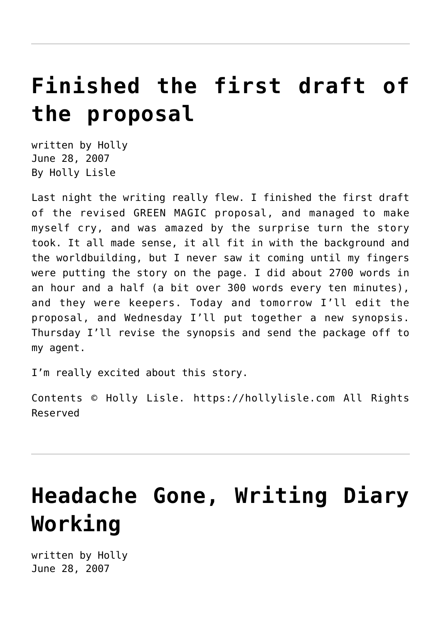## **[Finished the first draft of](https://hollylisle.com/finished-the-first-draft-of-the-proposal-2/) [the proposal](https://hollylisle.com/finished-the-first-draft-of-the-proposal-2/)**

written by Holly June 28, 2007 [By Holly Lisle](https://hollylisle.com)

Last night the writing really flew. I finished the first draft of the revised GREEN MAGIC proposal, and managed to make myself cry, and was amazed by the surprise turn the story took. It all made sense, it all fit in with the background and the worldbuilding, but I never saw it coming until my fingers were putting the story on the page. I did about 2700 words in an hour and a half (a bit over 300 words every ten minutes), and they were keepers. Today and tomorrow I'll edit the proposal, and Wednesday I'll put together a new synopsis. Thursday I'll revise the synopsis and send the package off to my agent.

I'm really excited about this story.

Contents © Holly Lisle. <https://hollylisle.com> All Rights Reserved

# **[Headache Gone, Writing Diary](https://hollylisle.com/headache-gone-writing-diary-working/) [Working](https://hollylisle.com/headache-gone-writing-diary-working/)**

written by Holly June 28, 2007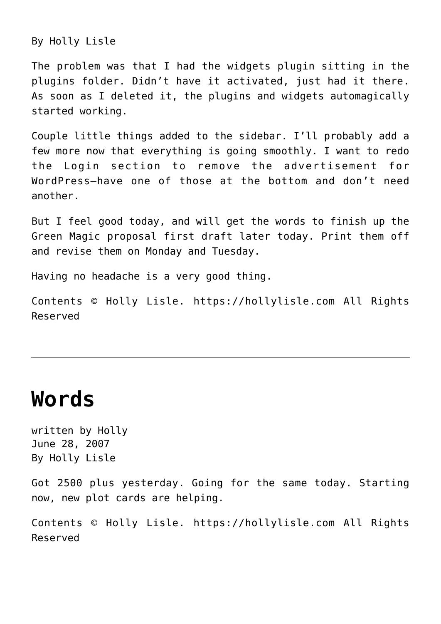[By Holly Lisle](https://hollylisle.com)

The problem was that I had the widgets plugin sitting in the plugins folder. Didn't have it activated, just had it there. As soon as I deleted it, the plugins and widgets automagically started working.

Couple little things added to the sidebar. I'll probably add a few more now that everything is going smoothly. I want to redo the Login section to remove the advertisement for WordPress–have one of those at the bottom and don't need another.

But I feel good today, and will get the words to finish up the Green Magic proposal first draft later today. Print them off and revise them on Monday and Tuesday.

Having no headache is a very good thing.

Contents © Holly Lisle. <https://hollylisle.com> All Rights Reserved

### **[Words](https://hollylisle.com/words-2/)**

written by Holly June 28, 2007 [By Holly Lisle](https://hollylisle.com)

Got 2500 plus yesterday. Going for the same today. Starting now, new plot cards are helping.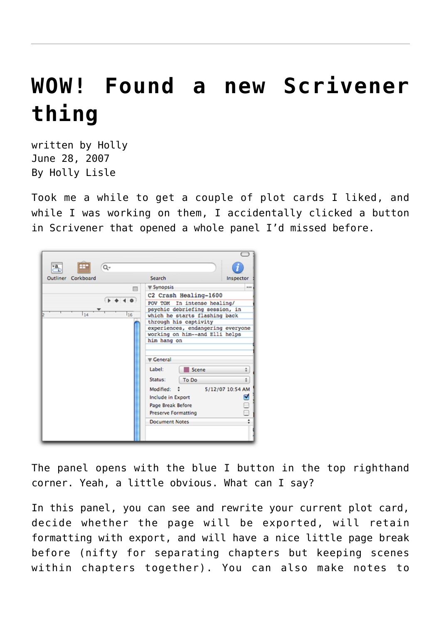# **[WOW! Found a new Scrivener](https://hollylisle.com/wow-found-a-new-scrivener-thing/) [thing](https://hollylisle.com/wow-found-a-new-scrivener-thing/)**

written by Holly June 28, 2007 [By Holly Lisle](https://hollylisle.com)

Took me a while to get a couple of plot cards I liked, and while I was working on them, I accidentally clicked a button in Scrivener that opened a whole panel I'd missed before.

| $\frac{a}{b}$<br>Q۰   |                                                                                                                                                                                                                                                                                                                                                                                                                                                          |           |
|-----------------------|----------------------------------------------------------------------------------------------------------------------------------------------------------------------------------------------------------------------------------------------------------------------------------------------------------------------------------------------------------------------------------------------------------------------------------------------------------|-----------|
| Corkboard<br>Outliner | Search                                                                                                                                                                                                                                                                                                                                                                                                                                                   | Inspector |
| 戸<br>16<br>114        | <b>▼ Synopsis</b><br>C2 Crash Healing-1600<br>POV TOM In intense healing/<br>psychic debriefing session, in<br>which he starts flashing back<br>through his captivity<br>experiences, endangering everyone<br>working on him--and Elli helps<br>him hang on<br>General<br>Label:<br>Scene<br>Status:<br>To Do<br>Modified: :<br>5/12/07 10:54 AM<br>Include in Export<br><b>Page Break Before</b><br><b>Preserve Formatting</b><br><b>Document Notes</b> | <br>÷     |

The panel opens with the blue I button in the top righthand corner. Yeah, a little obvious. What can I say?

In this panel, you can see and rewrite your current plot card, decide whether the page will be exported, will retain formatting with export, and will have a nice little page break before (nifty for separating chapters but keeping scenes within chapters together). You can also make notes to